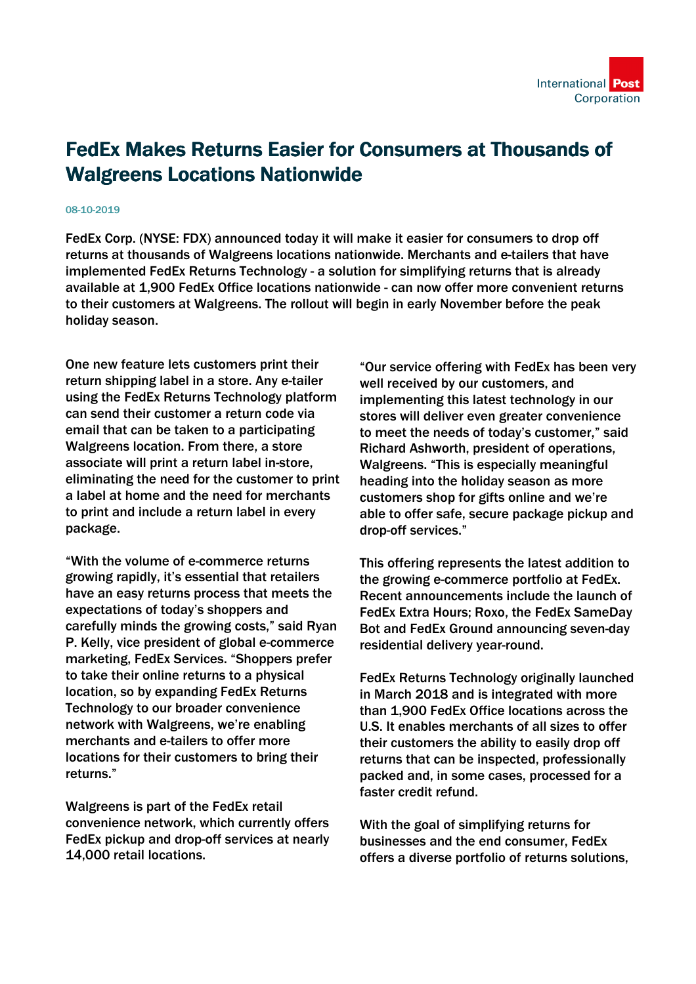## FedEx Makes Returns Easier for Consumers at Thousands of Walgreens Locations Nationwide

## 08-10-2019

FedEx Corp. (NYSE: FDX) announced today it will make it easier for consumers to drop off returns at thousands of Walgreens locations nationwide. Merchants and e-tailers that have implemented FedEx Returns Technology - a solution for simplifying returns that is already available at 1,900 FedEx Office locations nationwide - can now offer more convenient returns to their customers at Walgreens. The rollout will begin in early November before the peak holiday season.

One new feature lets customers print their return shipping label in a store. Any e-tailer using the FedEx Returns Technology platform can send their customer a return code via email that can be taken to a participating Walgreens location. From there, a store associate will print a return label in-store, eliminating the need for the customer to print a label at home and the need for merchants to print and include a return label in every package.

"With the volume of e-commerce returns growing rapidly, it's essential that retailers have an easy returns process that meets the expectations of today's shoppers and carefully minds the growing costs," said Ryan P. Kelly, vice president of global e-commerce marketing, FedEx Services. "Shoppers prefer to take their online returns to a physical location, so by expanding FedEx Returns Technology to our broader convenience network with Walgreens, we're enabling merchants and e-tailers to offer more locations for their customers to bring their returns."

Walgreens is part of the FedEx retail convenience network, which currently offers FedEx pickup and drop-off services at nearly 14,000 retail locations.

"Our service offering with FedEx has been very well received by our customers, and implementing this latest technology in our stores will deliver even greater convenience to meet the needs of today's customer," said Richard Ashworth, president of operations, Walgreens. "This is especially meaningful heading into the holiday season as more customers shop for gifts online and we're able to offer safe, secure package pickup and drop-off services."

This offering represents the latest addition to the growing e-commerce portfolio at FedEx. Recent announcements include the launch of FedEx Extra Hours; Roxo, the FedEx SameDay Bot and FedEx Ground announcing seven-day residential delivery year-round.

FedEx Returns Technology originally launched in March 2018 and is integrated with more than 1,900 FedEx Office locations across the U.S. It enables merchants of all sizes to offer their customers the ability to easily drop off returns that can be inspected, professionally packed and, in some cases, processed for a faster credit refund.

With the goal of simplifying returns for businesses and the end consumer, FedEx offers a diverse portfolio of returns solutions,